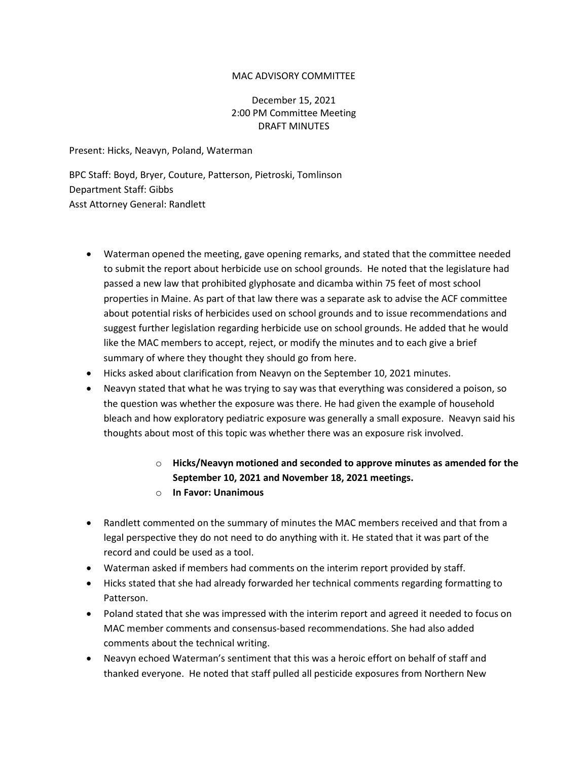## MAC ADVISORY COMMITTEE

## December 15, 2021 2:00 PM Committee Meeting DRAFT MINUTES

Present: Hicks, Neavyn, Poland, Waterman

BPC Staff: Boyd, Bryer, Couture, Patterson, Pietroski, Tomlinson Department Staff: Gibbs Asst Attorney General: Randlett

- Waterman opened the meeting, gave opening remarks, and stated that the committee needed to submit the report about herbicide use on school grounds. He noted that the legislature had passed a new law that prohibited glyphosate and dicamba within 75 feet of most school properties in Maine. As part of that law there was a separate ask to advise the ACF committee about potential risks of herbicides used on school grounds and to issue recommendations and suggest further legislation regarding herbicide use on school grounds. He added that he would like the MAC members to accept, reject, or modify the minutes and to each give a brief summary of where they thought they should go from here.
- Hicks asked about clarification from Neavyn on the September 10, 2021 minutes.
- Neavyn stated that what he was trying to say was that everything was considered a poison, so the question was whether the exposure was there. He had given the example of household bleach and how exploratory pediatric exposure was generally a small exposure. Neavyn said his thoughts about most of this topic was whether there was an exposure risk involved.
	- o **Hicks/Neavyn motioned and seconded to approve minutes as amended for the September 10, 2021 and November 18, 2021 meetings.**
	- o **In Favor: Unanimous**
- Randlett commented on the summary of minutes the MAC members received and that from a legal perspective they do not need to do anything with it. He stated that it was part of the record and could be used as a tool.
- Waterman asked if members had comments on the interim report provided by staff.
- Hicks stated that she had already forwarded her technical comments regarding formatting to Patterson.
- Poland stated that she was impressed with the interim report and agreed it needed to focus on MAC member comments and consensus-based recommendations. She had also added comments about the technical writing.
- Neavyn echoed Waterman's sentiment that this was a heroic effort on behalf of staff and thanked everyone. He noted that staff pulled all pesticide exposures from Northern New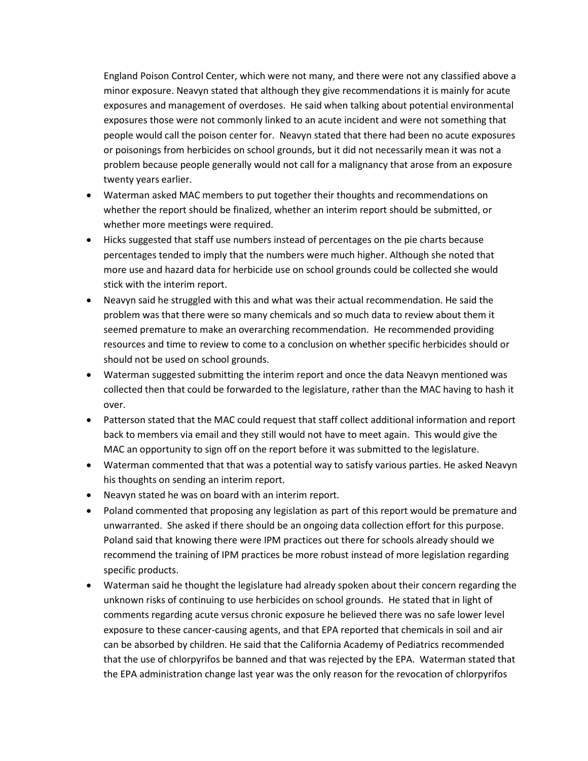England Poison Control Center, which were not many, and there were not any classified above a minor exposure. Neavyn stated that although they give recommendations it is mainly for acute exposures and management of overdoses. He said when talking about potential environmental exposures those were not commonly linked to an acute incident and were not something that people would call the poison center for. Neavyn stated that there had been no acute exposures or poisonings from herbicides on school grounds, but it did not necessarily mean it was not a problem because people generally would not call for a malignancy that arose from an exposure twenty years earlier.

- Waterman asked MAC members to put together their thoughts and recommendations on whether the report should be finalized, whether an interim report should be submitted, or whether more meetings were required.
- Hicks suggested that staff use numbers instead of percentages on the pie charts because percentages tended to imply that the numbers were much higher. Although she noted that more use and hazard data for herbicide use on school grounds could be collected she would stick with the interim report.
- Neavyn said he struggled with this and what was their actual recommendation. He said the problem was that there were so many chemicals and so much data to review about them it seemed premature to make an overarching recommendation. He recommended providing resources and time to review to come to a conclusion on whether specific herbicides should or should not be used on school grounds.
- Waterman suggested submitting the interim report and once the data Neavyn mentioned was collected then that could be forwarded to the legislature, rather than the MAC having to hash it over.
- Patterson stated that the MAC could request that staff collect additional information and report back to members via email and they still would not have to meet again. This would give the MAC an opportunity to sign off on the report before it was submitted to the legislature.
- Waterman commented that that was a potential way to satisfy various parties. He asked Neavyn his thoughts on sending an interim report.
- Neavyn stated he was on board with an interim report.
- Poland commented that proposing any legislation as part of this report would be premature and unwarranted. She asked if there should be an ongoing data collection effort for this purpose. Poland said that knowing there were IPM practices out there for schools already should we recommend the training of IPM practices be more robust instead of more legislation regarding specific products.
- Waterman said he thought the legislature had already spoken about their concern regarding the unknown risks of continuing to use herbicides on school grounds. He stated that in light of comments regarding acute versus chronic exposure he believed there was no safe lower level exposure to these cancer-causing agents, and that EPA reported that chemicals in soil and air can be absorbed by children. He said that the California Academy of Pediatrics recommended that the use of chlorpyrifos be banned and that was rejected by the EPA. Waterman stated that the EPA administration change last year was the only reason for the revocation of chlorpyrifos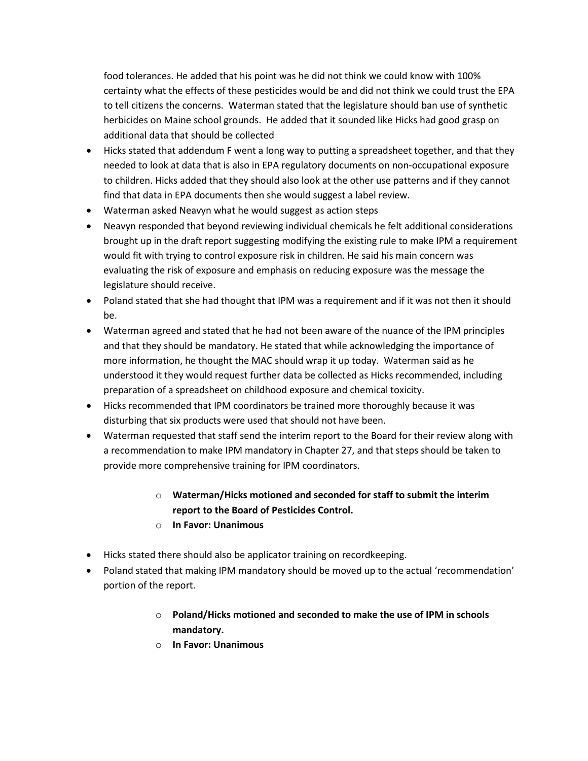food tolerances. He added that his point was he did not think we could know with 100% certainty what the effects of these pesticides would be and did not think we could trust the EPA to tell citizens the concerns. Waterman stated that the legislature should ban use of synthetic herbicides on Maine school grounds. He added that it sounded like Hicks had good grasp on additional data that should be collected

- Hicks stated that addendum F went a long way to putting a spreadsheet together, and that they needed to look at data that is also in EPA regulatory documents on non-occupational exposure to children. Hicks added that they should also look at the other use patterns and if they cannot find that data in EPA documents then she would suggest a label review.
- Waterman asked Neavyn what he would suggest as action steps
- Neavyn responded that beyond reviewing individual chemicals he felt additional considerations brought up in the draft report suggesting modifying the existing rule to make IPM a requirement would fit with trying to control exposure risk in children. He said his main concern was evaluating the risk of exposure and emphasis on reducing exposure was the message the legislature should receive.
- Poland stated that she had thought that IPM was a requirement and if it was not then it should be.
- Waterman agreed and stated that he had not been aware of the nuance of the IPM principles and that they should be mandatory. He stated that while acknowledging the importance of more information, he thought the MAC should wrap it up today. Waterman said as he understood it they would request further data be collected as Hicks recommended, including preparation of a spreadsheet on childhood exposure and chemical toxicity.
- Hicks recommended that IPM coordinators be trained more thoroughly because it was disturbing that six products were used that should not have been.
- Waterman requested that staff send the interim report to the Board for their review along with a recommendation to make IPM mandatory in Chapter 27, and that steps should be taken to provide more comprehensive training for IPM coordinators.

## o **Waterman/Hicks motioned and seconded for staff to submit the interim report to the Board of Pesticides Control.**

- o **In Favor: Unanimous**
- Hicks stated there should also be applicator training on recordkeeping.
- Poland stated that making IPM mandatory should be moved up to the actual 'recommendation' portion of the report.
	- o **Poland/Hicks motioned and seconded to make the use of IPM in schools mandatory.**
	- o **In Favor: Unanimous**